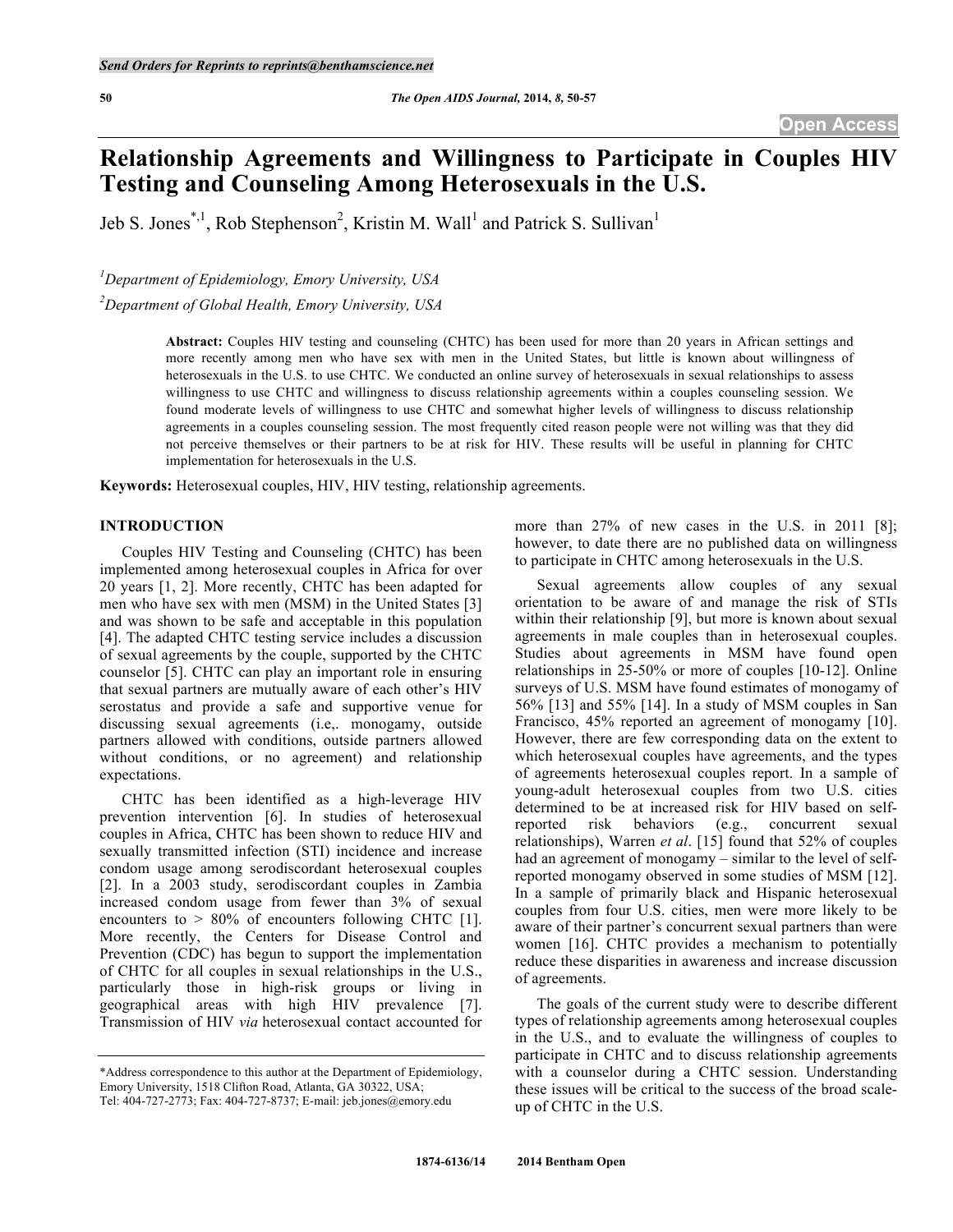# **Relationship Agreements and Willingness to Participate in Couples HIV Testing and Counseling Among Heterosexuals in the U.S.**

Jeb S. Jones<sup>\*,1</sup>, Rob Stephenson<sup>2</sup>, Kristin M. Wall<sup>1</sup> and Patrick S. Sullivan<sup>1</sup>

*1 Department of Epidemiology, Emory University, USA*

*2 Department of Global Health, Emory University, USA*

**Abstract:** Couples HIV testing and counseling (CHTC) has been used for more than 20 years in African settings and more recently among men who have sex with men in the United States, but little is known about willingness of heterosexuals in the U.S. to use CHTC. We conducted an online survey of heterosexuals in sexual relationships to assess willingness to use CHTC and willingness to discuss relationship agreements within a couples counseling session. We found moderate levels of willingness to use CHTC and somewhat higher levels of willingness to discuss relationship agreements in a couples counseling session. The most frequently cited reason people were not willing was that they did not perceive themselves or their partners to be at risk for HIV. These results will be useful in planning for CHTC implementation for heterosexuals in the U.S.

**Keywords:** Heterosexual couples, HIV, HIV testing, relationship agreements.

## **INTRODUCTION**

Couples HIV Testing and Counseling (CHTC) has been implemented among heterosexual couples in Africa for over 20 years [1, 2]. More recently, CHTC has been adapted for men who have sex with men (MSM) in the United States [3] and was shown to be safe and acceptable in this population [4]. The adapted CHTC testing service includes a discussion of sexual agreements by the couple, supported by the CHTC counselor [5]. CHTC can play an important role in ensuring that sexual partners are mutually aware of each other's HIV serostatus and provide a safe and supportive venue for discussing sexual agreements (i.e,. monogamy, outside partners allowed with conditions, outside partners allowed without conditions, or no agreement) and relationship expectations.

CHTC has been identified as a high-leverage HIV prevention intervention [6]. In studies of heterosexual couples in Africa, CHTC has been shown to reduce HIV and sexually transmitted infection (STI) incidence and increase condom usage among serodiscordant heterosexual couples [2]. In a 2003 study, serodiscordant couples in Zambia increased condom usage from fewer than 3% of sexual encounters to  $> 80\%$  of encounters following CHTC [1]. More recently, the Centers for Disease Control and Prevention (CDC) has begun to support the implementation of CHTC for all couples in sexual relationships in the U.S., particularly those in high-risk groups or living in geographical areas with high HIV prevalence [7]. Transmission of HIV *via* heterosexual contact accounted for

more than 27% of new cases in the U.S. in 2011 [8]; however, to date there are no published data on willingness to participate in CHTC among heterosexuals in the U.S.

Sexual agreements allow couples of any sexual orientation to be aware of and manage the risk of STIs within their relationship [9], but more is known about sexual agreements in male couples than in heterosexual couples. Studies about agreements in MSM have found open relationships in 25-50% or more of couples [10-12]. Online surveys of U.S. MSM have found estimates of monogamy of 56% [13] and 55% [14]. In a study of MSM couples in San Francisco, 45% reported an agreement of monogamy [10]. However, there are few corresponding data on the extent to which heterosexual couples have agreements, and the types of agreements heterosexual couples report. In a sample of young-adult heterosexual couples from two U.S. cities determined to be at increased risk for HIV based on selfreported risk behaviors (e.g., concurrent sexual relationships), Warren *et al*. [15] found that 52% of couples had an agreement of monogamy – similar to the level of selfreported monogamy observed in some studies of MSM [12]. In a sample of primarily black and Hispanic heterosexual couples from four U.S. cities, men were more likely to be aware of their partner's concurrent sexual partners than were women [16]. CHTC provides a mechanism to potentially reduce these disparities in awareness and increase discussion of agreements.

The goals of the current study were to describe different types of relationship agreements among heterosexual couples in the U.S., and to evaluate the willingness of couples to participate in CHTC and to discuss relationship agreements with a counselor during a CHTC session. Understanding these issues will be critical to the success of the broad scaleup of CHTC in the U.S.

<sup>\*</sup>Address correspondence to this author at the Department of Epidemiology, Emory University, 1518 Clifton Road, Atlanta, GA 30322, USA; Tel: 404-727-2773; Fax: 404-727-8737; E-mail: jeb.jones@emory.edu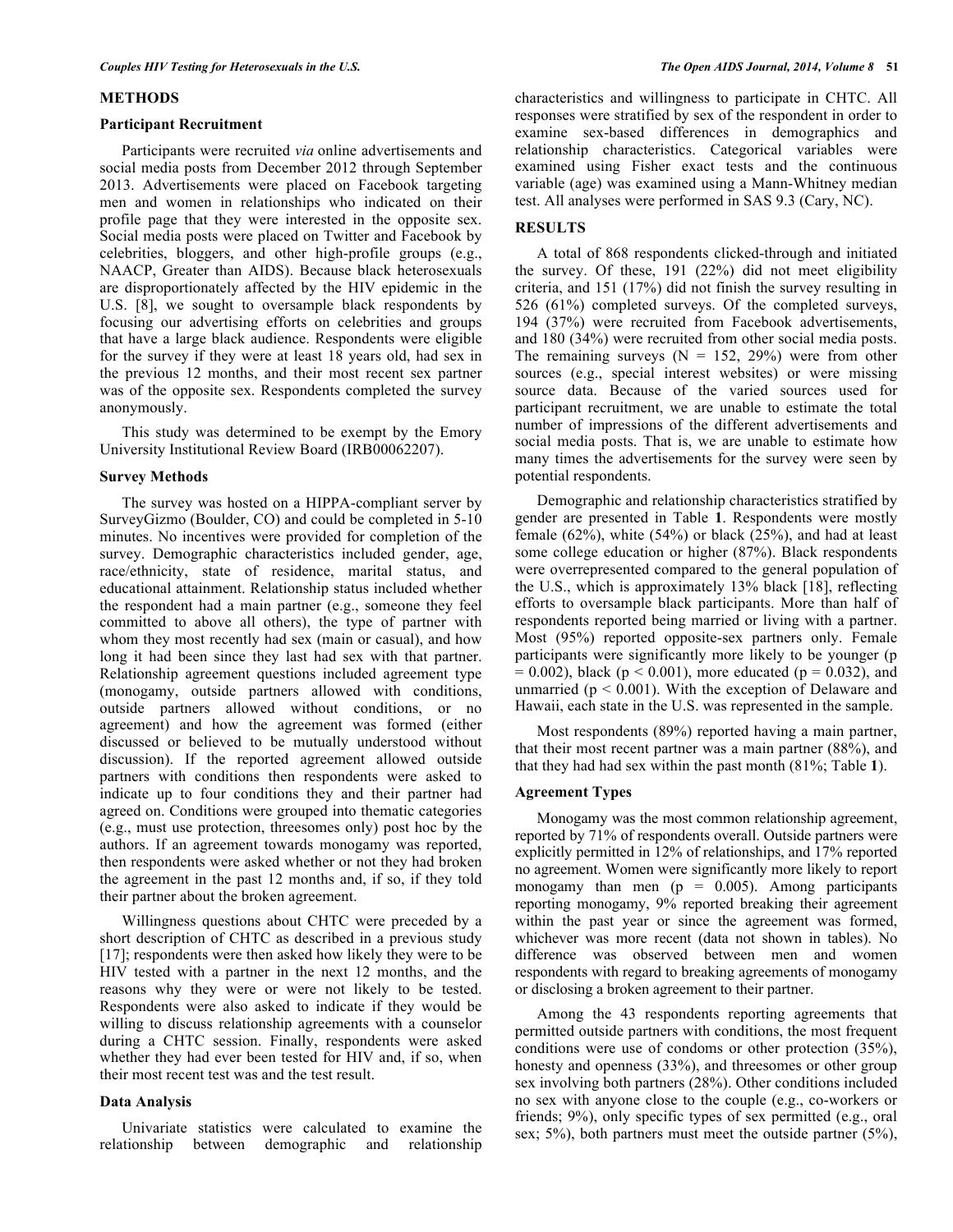### **METHODS**

### **Participant Recruitment**

Participants were recruited *via* online advertisements and social media posts from December 2012 through September 2013. Advertisements were placed on Facebook targeting men and women in relationships who indicated on their profile page that they were interested in the opposite sex. Social media posts were placed on Twitter and Facebook by celebrities, bloggers, and other high-profile groups (e.g., NAACP, Greater than AIDS). Because black heterosexuals are disproportionately affected by the HIV epidemic in the U.S. [8], we sought to oversample black respondents by focusing our advertising efforts on celebrities and groups that have a large black audience. Respondents were eligible for the survey if they were at least 18 years old, had sex in the previous 12 months, and their most recent sex partner was of the opposite sex. Respondents completed the survey anonymously.

This study was determined to be exempt by the Emory University Institutional Review Board (IRB00062207).

### **Survey Methods**

The survey was hosted on a HIPPA-compliant server by SurveyGizmo (Boulder, CO) and could be completed in 5-10 minutes. No incentives were provided for completion of the survey. Demographic characteristics included gender, age, race/ethnicity, state of residence, marital status, and educational attainment. Relationship status included whether the respondent had a main partner (e.g., someone they feel committed to above all others), the type of partner with whom they most recently had sex (main or casual), and how long it had been since they last had sex with that partner. Relationship agreement questions included agreement type (monogamy, outside partners allowed with conditions, outside partners allowed without conditions, or no agreement) and how the agreement was formed (either discussed or believed to be mutually understood without discussion). If the reported agreement allowed outside partners with conditions then respondents were asked to indicate up to four conditions they and their partner had agreed on. Conditions were grouped into thematic categories (e.g., must use protection, threesomes only) post hoc by the authors. If an agreement towards monogamy was reported, then respondents were asked whether or not they had broken the agreement in the past 12 months and, if so, if they told their partner about the broken agreement.

Willingness questions about CHTC were preceded by a short description of CHTC as described in a previous study [17]; respondents were then asked how likely they were to be HIV tested with a partner in the next 12 months, and the reasons why they were or were not likely to be tested. Respondents were also asked to indicate if they would be willing to discuss relationship agreements with a counselor during a CHTC session. Finally, respondents were asked whether they had ever been tested for HIV and, if so, when their most recent test was and the test result.

### **Data Analysis**

Univariate statistics were calculated to examine the relationship between demographic and relationship characteristics and willingness to participate in CHTC. All responses were stratified by sex of the respondent in order to examine sex-based differences in demographics and relationship characteristics. Categorical variables were examined using Fisher exact tests and the continuous variable (age) was examined using a Mann-Whitney median test. All analyses were performed in SAS 9.3 (Cary, NC).

## **RESULTS**

A total of 868 respondents clicked-through and initiated the survey. Of these, 191 (22%) did not meet eligibility criteria, and 151 (17%) did not finish the survey resulting in 526 (61%) completed surveys. Of the completed surveys, 194 (37%) were recruited from Facebook advertisements, and 180 (34%) were recruited from other social media posts. The remaining surveys  $(N = 152, 29%)$  were from other sources (e.g., special interest websites) or were missing source data. Because of the varied sources used for participant recruitment, we are unable to estimate the total number of impressions of the different advertisements and social media posts. That is, we are unable to estimate how many times the advertisements for the survey were seen by potential respondents.

Demographic and relationship characteristics stratified by gender are presented in Table **1**. Respondents were mostly female (62%), white (54%) or black (25%), and had at least some college education or higher (87%). Black respondents were overrepresented compared to the general population of the U.S., which is approximately 13% black [18], reflecting efforts to oversample black participants. More than half of respondents reported being married or living with a partner. Most (95%) reported opposite-sex partners only. Female participants were significantly more likely to be younger (p  $= 0.002$ ), black (p < 0.001), more educated (p = 0.032), and unmarried ( $p < 0.001$ ). With the exception of Delaware and Hawaii, each state in the U.S. was represented in the sample.

Most respondents (89%) reported having a main partner, that their most recent partner was a main partner (88%), and that they had had sex within the past month (81%; Table **1**).

### **Agreement Types**

Monogamy was the most common relationship agreement, reported by 71% of respondents overall. Outside partners were explicitly permitted in 12% of relationships, and 17% reported no agreement. Women were significantly more likely to report monogamy than men  $(p = 0.005)$ . Among participants reporting monogamy, 9% reported breaking their agreement within the past year or since the agreement was formed, whichever was more recent (data not shown in tables). No difference was observed between men and women respondents with regard to breaking agreements of monogamy or disclosing a broken agreement to their partner.

Among the 43 respondents reporting agreements that permitted outside partners with conditions, the most frequent conditions were use of condoms or other protection (35%), honesty and openness (33%), and threesomes or other group sex involving both partners (28%). Other conditions included no sex with anyone close to the couple (e.g., co-workers or friends; 9%), only specific types of sex permitted (e.g., oral sex; 5%), both partners must meet the outside partner (5%),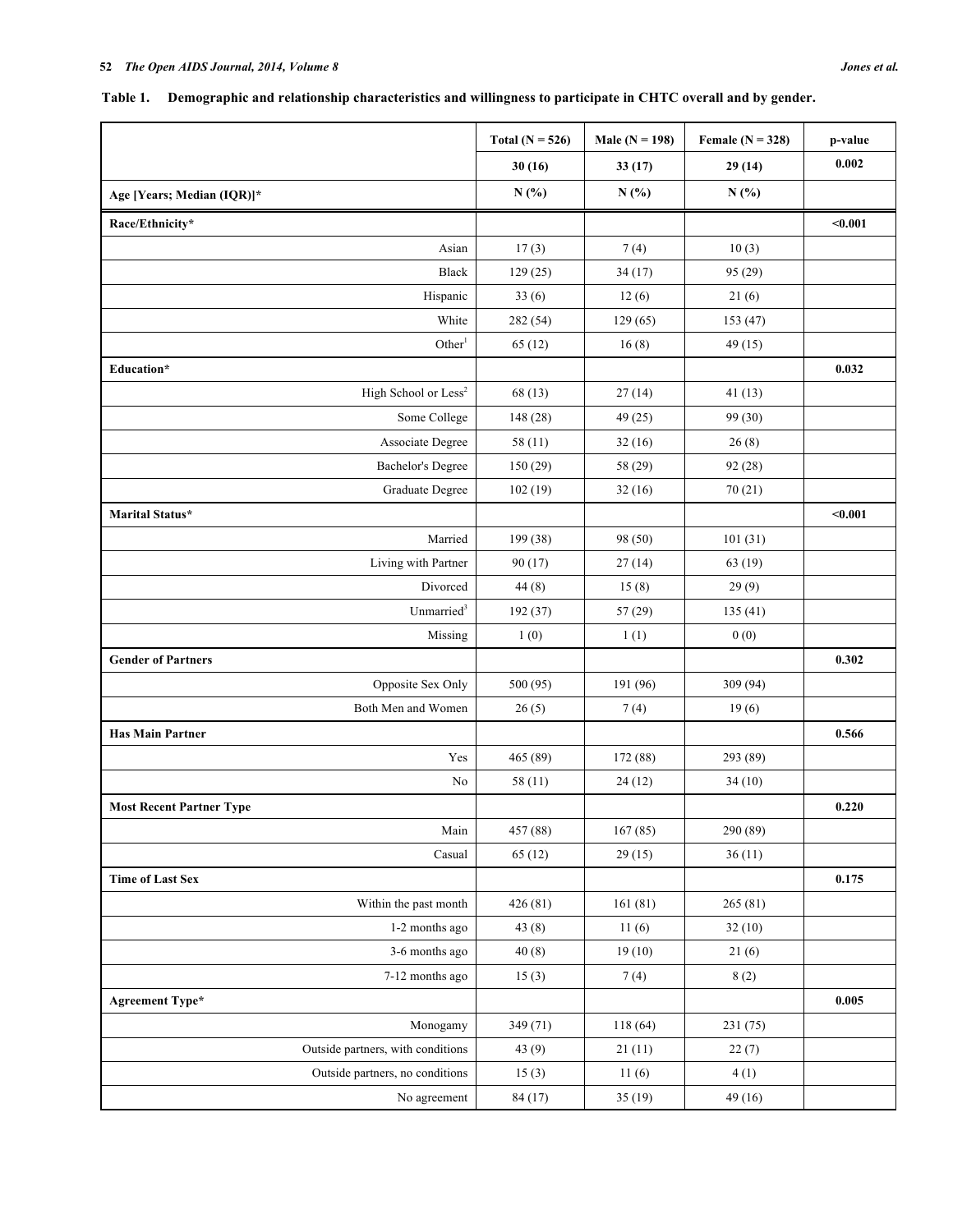## **Table 1. Demographic and relationship characteristics and willingness to participate in CHTC overall and by gender.**

|                                   | Total $(N = 526)$ | Male $(N = 198)$ | Female $(N = 328)$ | p-value |
|-----------------------------------|-------------------|------------------|--------------------|---------|
|                                   | 30(16)            | 33(17)           | 29(14)             | 0.002   |
| Age [Years; Median (IQR)]*        | N(%)              | N(%)             | N(%)               |         |
| Race/Ethnicity*                   |                   |                  |                    | $0.001$ |
| Asian                             | 17(3)             | 7(4)             | 10(3)              |         |
| Black                             | 129(25)           | 34(17)           | 95 (29)            |         |
| Hispanic                          | 33(6)             | 12(6)            | 21(6)              |         |
| White                             | 282 (54)          | 129(65)          | 153 (47)           |         |
| Other <sup>1</sup>                | 65(12)            | 16(8)            | 49(15)             |         |
| Education*                        |                   |                  |                    | 0.032   |
| High School or Less <sup>2</sup>  | 68 (13)           | 27(14)           | 41(13)             |         |
| Some College                      | 148 (28)          | 49 (25)          | 99 (30)            |         |
| Associate Degree                  | 58(11)            | 32(16)           | 26(8)              |         |
| <b>Bachelor's Degree</b>          | 150(29)           | 58 (29)          | 92(28)             |         |
| Graduate Degree                   | 102(19)           | 32(16)           | 70(21)             |         |
| Marital Status*                   |                   |                  |                    | $0.001$ |
| Married                           | 199 (38)          | 98 (50)          | 101(31)            |         |
| Living with Partner               | 90(17)            | 27(14)           | 63 (19)            |         |
| Divorced                          | 44(8)             | 15(8)            | 29(9)              |         |
| Unmarried <sup>3</sup>            | 192 (37)          | 57(29)           | 135(41)            |         |
| Missing                           | 1(0)              | 1(1)             | 0(0)               |         |
| <b>Gender of Partners</b>         |                   |                  |                    | 0.302   |
| Opposite Sex Only                 | 500 (95)          | 191 (96)         | 309 (94)           |         |
| Both Men and Women                | 26(5)             | 7(4)             | 19(6)              |         |
| <b>Has Main Partner</b>           |                   |                  |                    | 0.566   |
| Yes                               | 465 (89)          | 172 (88)         | 293 (89)           |         |
| $\rm No$                          | 58(11)            | 24(12)           | 34(10)             |         |
| <b>Most Recent Partner Type</b>   |                   |                  |                    | 0.220   |
| Main                              | 457 (88)          | 167(85)          | 290 (89)           |         |
| Casual                            | 65(12)            | 29(15)           | 36(11)             |         |
| <b>Time of Last Sex</b>           |                   |                  |                    | 0.175   |
| Within the past month             | 426(81)           | 161(81)          | 265(81)            |         |
| 1-2 months ago                    | 43(8)             | 11(6)            | 32(10)             |         |
| 3-6 months ago                    | 40(8)             | 19(10)           | 21(6)              |         |
| 7-12 months ago                   | 15(3)             | 7(4)             | 8(2)               |         |
| <b>Agreement Type*</b>            |                   |                  |                    | 0.005   |
| Monogamy                          | 349 (71)          | 118(64)          | 231(75)            |         |
| Outside partners, with conditions | 43 $(9)$          | 21(11)           | 22(7)              |         |
| Outside partners, no conditions   | 15(3)             | 11(6)            | 4(1)               |         |
| No agreement                      | 84 (17)           | 35(19)           | 49(16)             |         |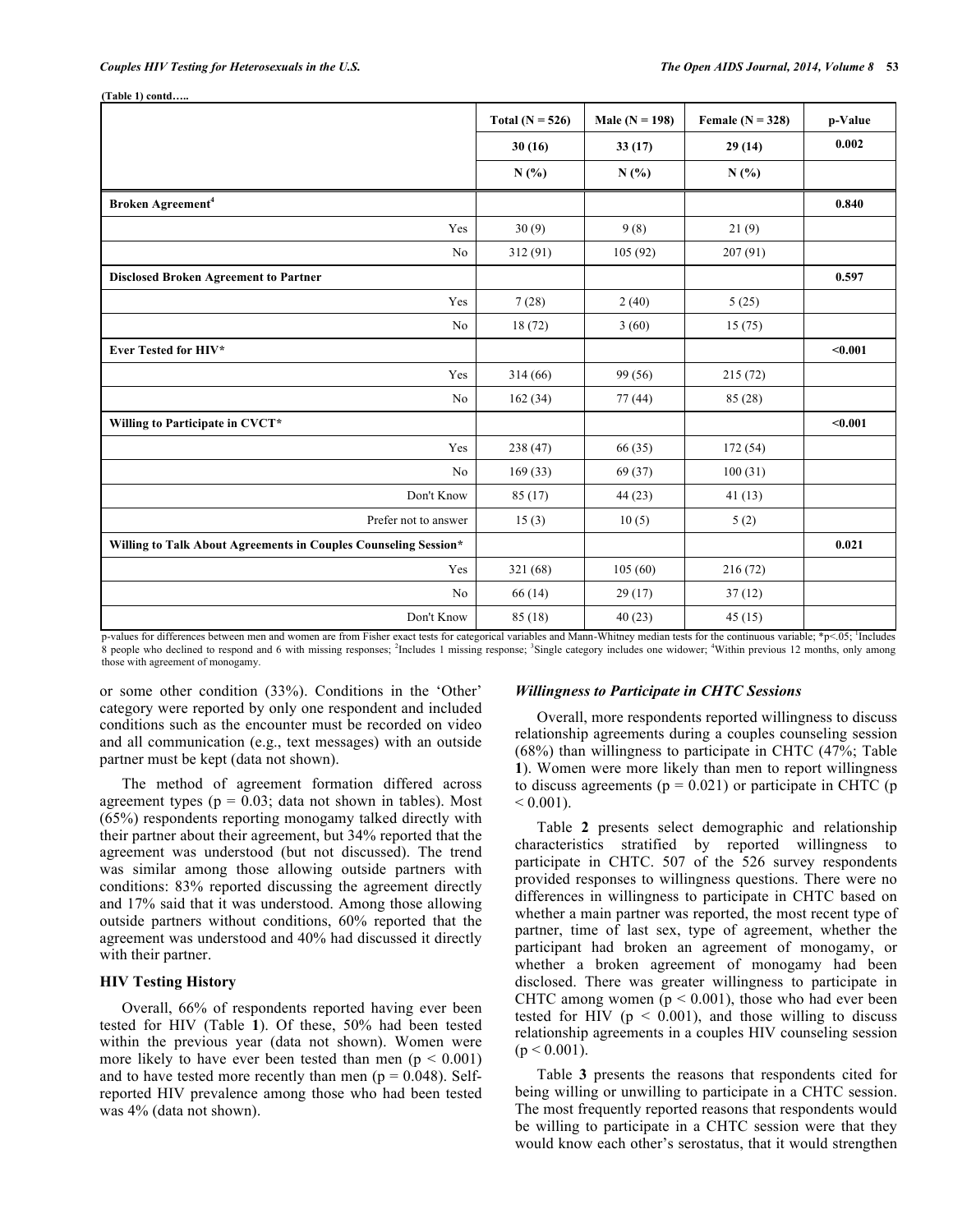**(Table 1) contd…..**

|                                                                 | Total ( $N = 526$ ) | Male ( $N = 198$ ) | Female $(N = 328)$ | p-Value |
|-----------------------------------------------------------------|---------------------|--------------------|--------------------|---------|
|                                                                 | 30(16)              | 33(17)             | 29(14)             | 0.002   |
|                                                                 | N(%)                | N(%)               | N(%)               |         |
| Broken Agreement <sup>4</sup>                                   |                     |                    |                    | 0.840   |
| Yes                                                             | 30(9)               | 9(8)               | 21(9)              |         |
| No                                                              | 312 (91)            | 105(92)            | 207(91)            |         |
| <b>Disclosed Broken Agreement to Partner</b>                    |                     |                    |                    | 0.597   |
| Yes                                                             | 7(28)               | 2(40)              | 5(25)              |         |
| No                                                              | 18(72)              | 3(60)              | 15(75)             |         |
| Ever Tested for HIV*                                            |                     |                    |                    | $0.001$ |
| Yes                                                             | 314(66)             | 99 (56)            | 215(72)            |         |
| No                                                              | 162(34)             | 77(44)             | 85 (28)            |         |
| Willing to Participate in CVCT*                                 |                     |                    |                    | $0.001$ |
| Yes                                                             | 238 (47)            | 66 (35)            | 172(54)            |         |
| No                                                              | 169(33)             | 69 (37)            | 100(31)            |         |
| Don't Know                                                      | 85 (17)             | 44(23)             | 41(13)             |         |
| Prefer not to answer                                            | 15(3)               | 10(5)              | 5(2)               |         |
| Willing to Talk About Agreements in Couples Counseling Session* |                     |                    |                    | 0.021   |
| Yes                                                             | 321 (68)            | 105(60)            | 216(72)            |         |
| No                                                              | 66 (14)             | 29(17)             | 37(12)             |         |
| Don't Know                                                      | 85 (18)             | 40(23)             | 45(15)             |         |

p-values for differences between men and women are from Fisher exact tests for categorical variables and Mann-Whitney median tests for the continuous variable; \*p<.05; <sup>1</sup> Includes 8 people who declined to respond and 6 with missing responses; <sup>2</sup>Includes 1 missing response; <sup>3</sup>Single category includes one widower; <sup>4</sup>Within previous 12 months, only among those with agreement of monogamy.

or some other condition (33%). Conditions in the 'Other' category were reported by only one respondent and included conditions such as the encounter must be recorded on video and all communication (e.g., text messages) with an outside partner must be kept (data not shown).

The method of agreement formation differed across agreement types ( $p = 0.03$ ; data not shown in tables). Most (65%) respondents reporting monogamy talked directly with their partner about their agreement, but 34% reported that the agreement was understood (but not discussed). The trend was similar among those allowing outside partners with conditions: 83% reported discussing the agreement directly and 17% said that it was understood. Among those allowing outside partners without conditions, 60% reported that the agreement was understood and 40% had discussed it directly with their partner.

## **HIV Testing History**

Overall, 66% of respondents reported having ever been tested for HIV (Table **1**). Of these, 50% had been tested within the previous year (data not shown). Women were more likely to have ever been tested than men ( $p < 0.001$ ) and to have tested more recently than men ( $p = 0.048$ ). Selfreported HIV prevalence among those who had been tested was 4% (data not shown).

## *Willingness to Participate in CHTC Sessions*

Overall, more respondents reported willingness to discuss relationship agreements during a couples counseling session (68%) than willingness to participate in CHTC (47%; Table **1**). Women were more likely than men to report willingness to discuss agreements ( $p = 0.021$ ) or participate in CHTC ( $p$  $< 0.001$ .

Table **2** presents select demographic and relationship characteristics stratified by reported willingness to participate in CHTC. 507 of the 526 survey respondents provided responses to willingness questions. There were no differences in willingness to participate in CHTC based on whether a main partner was reported, the most recent type of partner, time of last sex, type of agreement, whether the participant had broken an agreement of monogamy, or whether a broken agreement of monogamy had been disclosed. There was greater willingness to participate in CHTC among women ( $p < 0.001$ ), those who had ever been tested for HIV ( $p < 0.001$ ), and those willing to discuss relationship agreements in a couples HIV counseling session  $(p < 0.001)$ .

Table **3** presents the reasons that respondents cited for being willing or unwilling to participate in a CHTC session. The most frequently reported reasons that respondents would be willing to participate in a CHTC session were that they would know each other's serostatus, that it would strengthen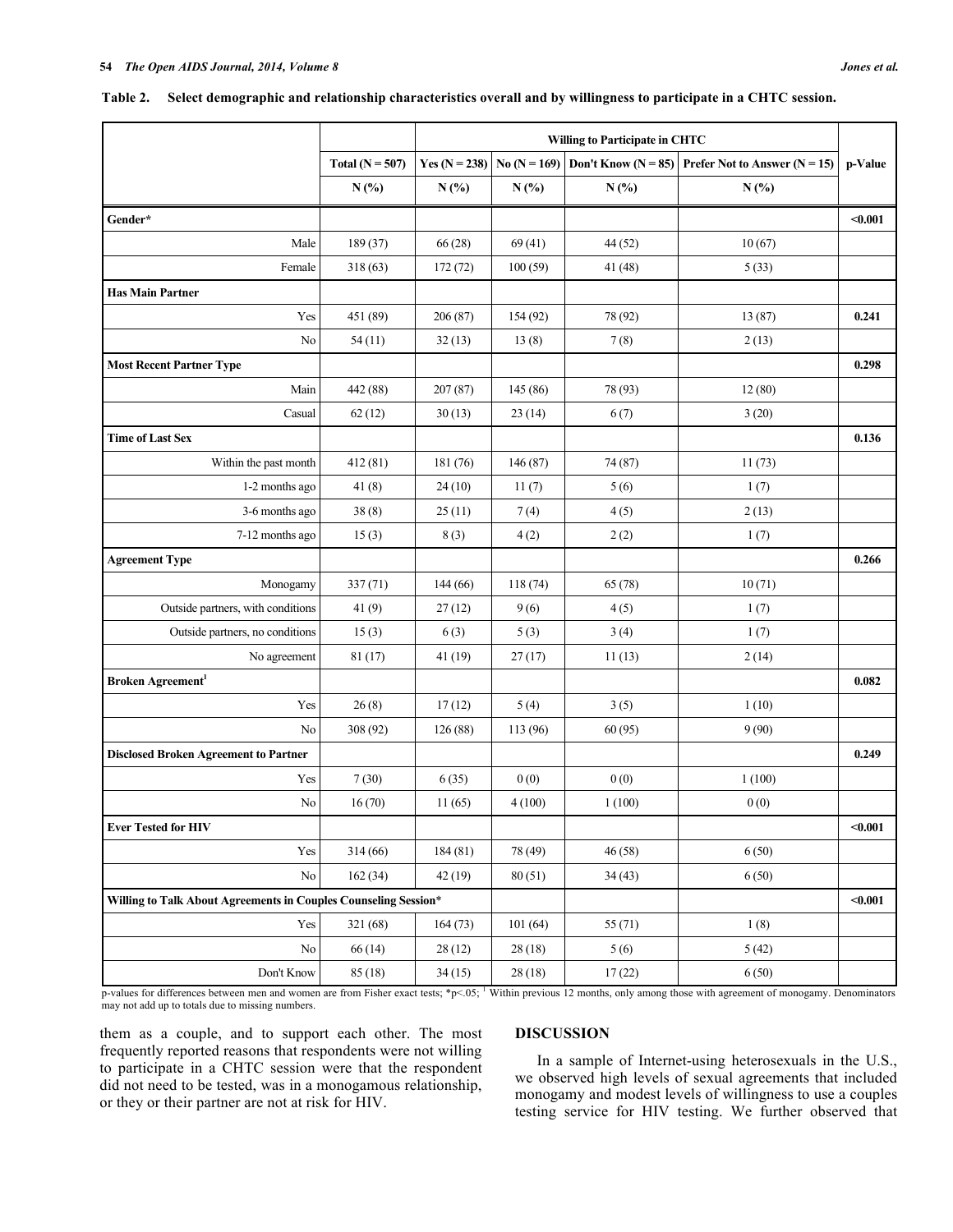|                                                                 |                     | Willing to Participate in CHTC |                |                         |                                                   |         |
|-----------------------------------------------------------------|---------------------|--------------------------------|----------------|-------------------------|---------------------------------------------------|---------|
|                                                                 | Total ( $N = 507$ ) | Yes $(N = 238)$                | $No (N = 169)$ | Don't Know ( $N = 85$ ) | <b>Prefer Not to Answer (<math>N = 15</math>)</b> | p-Value |
|                                                                 | N(%)                | N(%)                           | N(%)           | $N(\%)$                 | N(%)                                              |         |
| Gender*                                                         |                     |                                |                |                         |                                                   | $0.001$ |
| Male                                                            | 189 (37)            | 66(28)                         | 69(41)         | 44(52)                  | 10(67)                                            |         |
| Female                                                          | 318(63)             | 172(72)                        | 100(59)        | 41 (48)                 | 5(33)                                             |         |
| <b>Has Main Partner</b>                                         |                     |                                |                |                         |                                                   |         |
| Yes                                                             | 451 (89)            | 206(87)                        | 154(92)        | 78 (92)                 | 13 (87)                                           | 0.241   |
| No                                                              | 54(11)              | 32(13)                         | 13(8)          | 7(8)                    | 2(13)                                             |         |
| <b>Most Recent Partner Type</b>                                 |                     |                                |                |                         |                                                   | 0.298   |
| Main                                                            | 442 (88)            | 207(87)                        | 145 (86)       | 78 (93)                 | 12(80)                                            |         |
| Casual                                                          | 62(12)              | 30(13)                         | 23(14)         | 6(7)                    | 3(20)                                             |         |
| <b>Time of Last Sex</b>                                         |                     |                                |                |                         |                                                   | 0.136   |
| Within the past month                                           | 412(81)             | 181 (76)                       | 146 (87)       | 74 (87)                 | 11(73)                                            |         |
| 1-2 months ago                                                  | 41(8)               | 24(10)                         | 11(7)          | 5(6)                    | 1(7)                                              |         |
| 3-6 months ago                                                  | 38(8)               | 25(11)                         | 7(4)           | 4(5)                    | 2(13)                                             |         |
| 7-12 months ago                                                 | 15(3)               | 8(3)                           | 4(2)           | 2(2)                    | 1(7)                                              |         |
| <b>Agreement Type</b>                                           |                     |                                |                |                         |                                                   | 0.266   |
| Monogamy                                                        | 337(71)             | 144(66)                        | 118(74)        | 65 (78)                 | 10(71)                                            |         |
| Outside partners, with conditions                               | 41(9)               | 27(12)                         | 9(6)           | 4(5)                    | 1(7)                                              |         |
| Outside partners, no conditions                                 | 15(3)               | 6(3)                           | 5(3)           | 3(4)                    | 1(7)                                              |         |
| No agreement                                                    | 81 (17)             | 41(19)                         | 27(17)         | 11(13)                  | 2(14)                                             |         |
| Broken Agreement <sup>1</sup>                                   |                     |                                |                |                         |                                                   | 0.082   |
| Yes                                                             | 26(8)               | 17(12)                         | 5(4)           | 3(5)                    | 1(10)                                             |         |
| No                                                              | 308 (92)            | 126(88)                        | 113 (96)       | 60(95)                  | 9(90)                                             |         |
| <b>Disclosed Broken Agreement to Partner</b>                    |                     |                                |                |                         |                                                   | 0.249   |
| Yes                                                             | 7(30)               | 6(35)                          | 0(0)           | 0(0)                    | 1(100)                                            |         |
| No                                                              | 16(70)              | 11(65)                         | 4(100)         | 1(100)                  | 0(0)                                              |         |
| <b>Ever Tested for HIV</b>                                      |                     |                                |                |                         |                                                   | $0.001$ |
| Yes                                                             | 314(66)             | 184 (81)                       | 78 (49)        | 46 (58)                 | 6(50)                                             |         |
| No                                                              | 162(34)             | 42(19)                         | 80(51)         | 34(43)                  | 6(50)                                             |         |
| Willing to Talk About Agreements in Couples Counseling Session* |                     |                                |                |                         |                                                   | $0.001$ |
| Yes                                                             | 321 (68)            | 164(73)                        | 101(64)        | 55(71)                  | 1(8)                                              |         |
| No                                                              | 66 (14)             | 28(12)                         | 28(18)         | 5(6)                    | 5(42)                                             |         |

**Table 2. Select demographic and relationship characteristics overall and by willingness to participate in a CHTC session.**

p-values for differences between men and women are from Fisher exact tests; \*p<.05; 1 Within previous 12 months, only among those with agreement of monogamy. Denominators may not add up to totals due to missing numbers.

Don't Know 85 (18) 34 (15) 28 (18) 17 (22) 6 (50)

them as a couple, and to support each other. The most frequently reported reasons that respondents were not willing to participate in a CHTC session were that the respondent did not need to be tested, was in a monogamous relationship, or they or their partner are not at risk for HIV.

## **DISCUSSION**

In a sample of Internet-using heterosexuals in the U.S., we observed high levels of sexual agreements that included monogamy and modest levels of willingness to use a couples testing service for HIV testing. We further observed that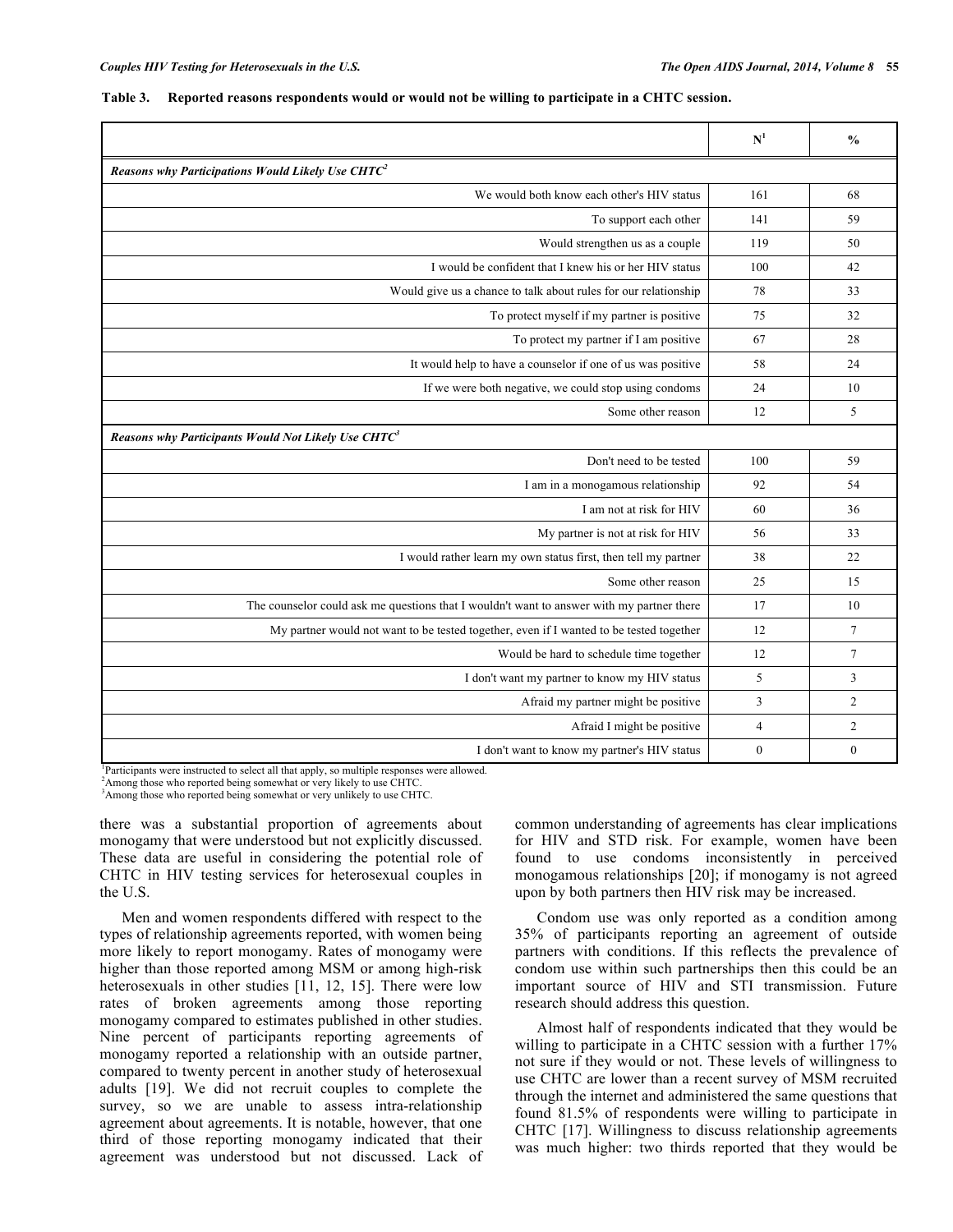|                                                                                           | N <sup>1</sup> | $\frac{0}{0}$   |
|-------------------------------------------------------------------------------------------|----------------|-----------------|
| Reasons why Participations Would Likely Use $CHTC^2$                                      |                |                 |
| We would both know each other's HIV status                                                | 161            | 68              |
| To support each other                                                                     | 141            | 59              |
| Would strengthen us as a couple                                                           | 119            | 50              |
| I would be confident that I knew his or her HIV status                                    | 100            | 42              |
| Would give us a chance to talk about rules for our relationship                           | 78             | 33              |
| To protect myself if my partner is positive                                               | 75             | 32              |
| To protect my partner if I am positive                                                    | 67             | 28              |
| It would help to have a counselor if one of us was positive                               | 58             | 24              |
| If we were both negative, we could stop using condoms                                     | 24             | 10              |
| Some other reason                                                                         | 12             | 5               |
| Reasons why Participants Would Not Likely Use CHTC <sup>3</sup>                           |                |                 |
| Don't need to be tested                                                                   | 100            | 59              |
| I am in a monogamous relationship                                                         | 92             | 54              |
| I am not at risk for HIV                                                                  | 60             | 36              |
| My partner is not at risk for HIV                                                         | 56             | 33              |
| I would rather learn my own status first, then tell my partner                            | 38             | 22              |
| Some other reason                                                                         | 25             | 15              |
| The counselor could ask me questions that I wouldn't want to answer with my partner there | 17             | 10              |
| My partner would not want to be tested together, even if I wanted to be tested together   | 12             | $7\phantom{.0}$ |
| Would be hard to schedule time together                                                   | 12             | $7\phantom{.0}$ |
| I don't want my partner to know my HIV status                                             | 5              | 3               |
| Afraid my partner might be positive                                                       | 3              | $\overline{2}$  |
| Afraid I might be positive                                                                | 4              | 2               |
| I don't want to know my partner's HIV status                                              | $\theta$       | $\theta$        |

### **Table 3. Reported reasons respondents would or would not be willing to participate in a CHTC session.**

1 Participants were instructed to select all that apply, so multiple responses were allowed.

<sup>2</sup> Among those who reported being somewhat or very likely to use CHTC.

<sup>3</sup> Among those who reported being somewhat or very unlikely to use CHTC.

there was a substantial proportion of agreements about monogamy that were understood but not explicitly discussed. These data are useful in considering the potential role of CHTC in HIV testing services for heterosexual couples in the U.S.

Men and women respondents differed with respect to the types of relationship agreements reported, with women being more likely to report monogamy. Rates of monogamy were higher than those reported among MSM or among high-risk heterosexuals in other studies [11, 12, 15]. There were low rates of broken agreements among those reporting monogamy compared to estimates published in other studies. Nine percent of participants reporting agreements of monogamy reported a relationship with an outside partner, compared to twenty percent in another study of heterosexual adults [19]. We did not recruit couples to complete the survey, so we are unable to assess intra-relationship agreement about agreements. It is notable, however, that one third of those reporting monogamy indicated that their agreement was understood but not discussed. Lack of common understanding of agreements has clear implications for HIV and STD risk. For example, women have been found to use condoms inconsistently in perceived monogamous relationships [20]; if monogamy is not agreed upon by both partners then HIV risk may be increased.

Condom use was only reported as a condition among 35% of participants reporting an agreement of outside partners with conditions. If this reflects the prevalence of condom use within such partnerships then this could be an important source of HIV and STI transmission. Future research should address this question.

Almost half of respondents indicated that they would be willing to participate in a CHTC session with a further 17% not sure if they would or not. These levels of willingness to use CHTC are lower than a recent survey of MSM recruited through the internet and administered the same questions that found 81.5% of respondents were willing to participate in CHTC [17]. Willingness to discuss relationship agreements was much higher: two thirds reported that they would be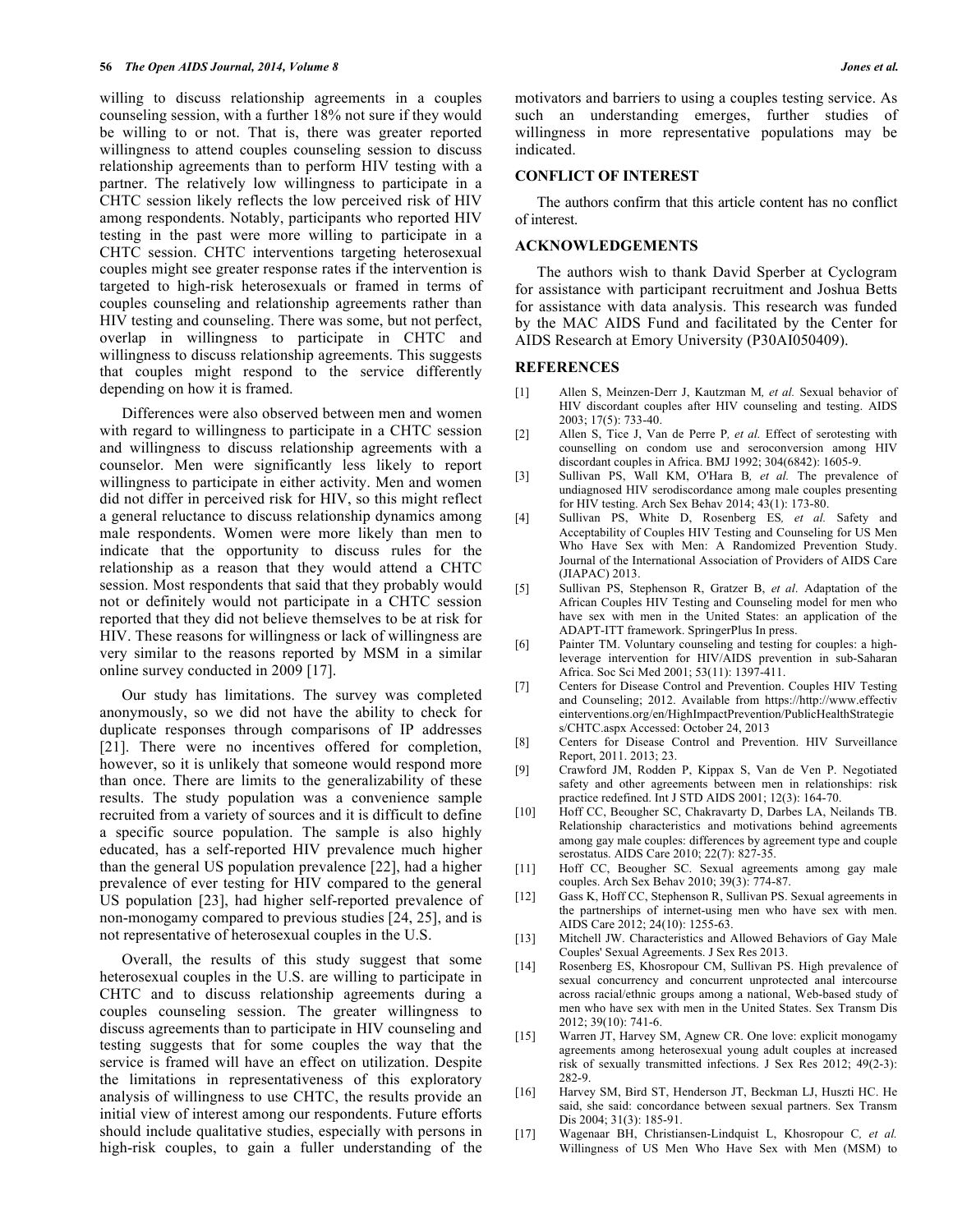willing to discuss relationship agreements in a couples counseling session, with a further 18% not sure if they would be willing to or not. That is, there was greater reported willingness to attend couples counseling session to discuss relationship agreements than to perform HIV testing with a partner. The relatively low willingness to participate in a CHTC session likely reflects the low perceived risk of HIV among respondents. Notably, participants who reported HIV testing in the past were more willing to participate in a CHTC session. CHTC interventions targeting heterosexual couples might see greater response rates if the intervention is targeted to high-risk heterosexuals or framed in terms of couples counseling and relationship agreements rather than HIV testing and counseling. There was some, but not perfect, overlap in willingness to participate in CHTC and willingness to discuss relationship agreements. This suggests that couples might respond to the service differently depending on how it is framed.

Differences were also observed between men and women with regard to willingness to participate in a CHTC session and willingness to discuss relationship agreements with a counselor. Men were significantly less likely to report willingness to participate in either activity. Men and women did not differ in perceived risk for HIV, so this might reflect a general reluctance to discuss relationship dynamics among male respondents. Women were more likely than men to indicate that the opportunity to discuss rules for the relationship as a reason that they would attend a CHTC session. Most respondents that said that they probably would not or definitely would not participate in a CHTC session reported that they did not believe themselves to be at risk for HIV. These reasons for willingness or lack of willingness are very similar to the reasons reported by MSM in a similar online survey conducted in 2009 [17].

Our study has limitations. The survey was completed anonymously, so we did not have the ability to check for duplicate responses through comparisons of IP addresses [21]. There were no incentives offered for completion, however, so it is unlikely that someone would respond more than once. There are limits to the generalizability of these results. The study population was a convenience sample recruited from a variety of sources and it is difficult to define a specific source population. The sample is also highly educated, has a self-reported HIV prevalence much higher than the general US population prevalence [22], had a higher prevalence of ever testing for HIV compared to the general US population [23], had higher self-reported prevalence of non-monogamy compared to previous studies [24, 25], and is not representative of heterosexual couples in the U.S.

Overall, the results of this study suggest that some heterosexual couples in the U.S. are willing to participate in CHTC and to discuss relationship agreements during a couples counseling session. The greater willingness to discuss agreements than to participate in HIV counseling and testing suggests that for some couples the way that the service is framed will have an effect on utilization. Despite the limitations in representativeness of this exploratory analysis of willingness to use CHTC, the results provide an initial view of interest among our respondents. Future efforts should include qualitative studies, especially with persons in high-risk couples, to gain a fuller understanding of the

motivators and barriers to using a couples testing service. As such an understanding emerges, further studies of willingness in more representative populations may be indicated.

#### **CONFLICT OF INTEREST**

The authors confirm that this article content has no conflict of interest.

### **ACKNOWLEDGEMENTS**

The authors wish to thank David Sperber at Cyclogram for assistance with participant recruitment and Joshua Betts for assistance with data analysis. This research was funded by the MAC AIDS Fund and facilitated by the Center for AIDS Research at Emory University (P30AI050409).

### **REFERENCES**

- [1] Allen S, Meinzen-Derr J, Kautzman M*, et al.* Sexual behavior of HIV discordant couples after HIV counseling and testing. AIDS 2003; 17(5): 733-40.
- [2] Allen S, Tice J, Van de Perre P*, et al.* Effect of serotesting with counselling on condom use and seroconversion among HIV discordant couples in Africa. BMJ 1992; 304(6842): 1605-9.
- [3] Sullivan PS, Wall KM, O'Hara B*, et al.* The prevalence of undiagnosed HIV serodiscordance among male couples presenting for HIV testing. Arch Sex Behav 2014; 43(1): 173-80.
- [4] Sullivan PS, White D, Rosenberg ES*, et al.* Safety and Acceptability of Couples HIV Testing and Counseling for US Men Who Have Sex with Men: A Randomized Prevention Study. Journal of the International Association of Providers of AIDS Care (JIAPAC) 2013.
- [5] Sullivan PS, Stephenson R, Gratzer B, *et al*. Adaptation of the African Couples HIV Testing and Counseling model for men who have sex with men in the United States: an application of the ADAPT-ITT framework. SpringerPlus In press.
- [6] Painter TM. Voluntary counseling and testing for couples: a highleverage intervention for HIV/AIDS prevention in sub-Saharan Africa. Soc Sci Med 2001; 53(11): 1397-411.
- [7] Centers for Disease Control and Prevention. Couples HIV Testing and Counseling; 2012. Available from https://http://www.effectiv einterventions.org/en/HighImpactPrevention/PublicHealthStrategie s/CHTC.aspx Accessed: October 24, 2013
- [8] Centers for Disease Control and Prevention. HIV Surveillance Report, 2011. 2013; 23.
- [9] Crawford JM, Rodden P, Kippax S, Van de Ven P. Negotiated safety and other agreements between men in relationships: risk practice redefined. Int J STD AIDS 2001; 12(3): 164-70.
- [10] Hoff CC, Beougher SC, Chakravarty D, Darbes LA, Neilands TB. Relationship characteristics and motivations behind agreements among gay male couples: differences by agreement type and couple serostatus. AIDS Care 2010; 22(7): 827-35.
- [11] Hoff CC, Beougher SC. Sexual agreements among gay male couples. Arch Sex Behav 2010; 39(3): 774-87.
- [12] Gass K, Hoff CC, Stephenson R, Sullivan PS. Sexual agreements in the partnerships of internet-using men who have sex with men. AIDS Care 2012; 24(10): 1255-63.
- [13] Mitchell JW. Characteristics and Allowed Behaviors of Gay Male Couples' Sexual Agreements. J Sex Res 2013.
- [14] Rosenberg ES, Khosropour CM, Sullivan PS. High prevalence of sexual concurrency and concurrent unprotected anal intercourse across racial/ethnic groups among a national, Web-based study of men who have sex with men in the United States. Sex Transm Dis 2012; 39(10): 741-6.
- [15] Warren JT, Harvey SM, Agnew CR. One love: explicit monogamy agreements among heterosexual young adult couples at increased risk of sexually transmitted infections. J Sex Res 2012; 49(2-3): 282-9.
- [16] Harvey SM, Bird ST, Henderson JT, Beckman LJ, Huszti HC. He said, she said: concordance between sexual partners. Sex Transm Dis 2004; 31(3): 185-91.
- [17] Wagenaar BH, Christiansen-Lindquist L, Khosropour C*, et al.* Willingness of US Men Who Have Sex with Men (MSM) to